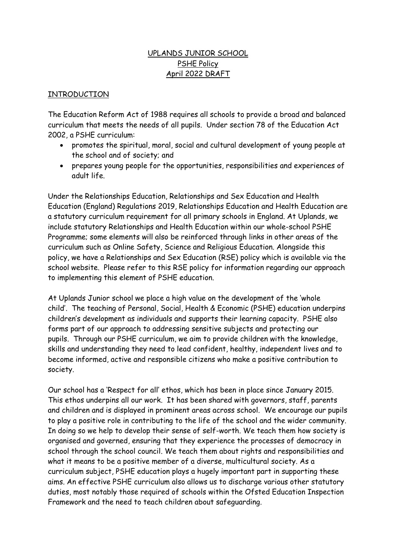# UPLANDS JUNIOR SCHOOL PSHE Policy April 2022 DRAFT

#### INTRODUCTION

The Education Reform Act of 1988 requires all schools to provide a broad and balanced curriculum that meets the needs of all pupils. Under section 78 of the Education Act 2002, a PSHE curriculum:

- promotes the spiritual, moral, social and cultural development of young people at the school and of society; and
- prepares young people for the opportunities, responsibilities and experiences of adult life.

Under the Relationships Education, Relationships and Sex Education and Health Education (England) Regulations 2019, Relationships Education and Health Education are a statutory curriculum requirement for all primary schools in England. At Uplands, we include statutory Relationships and Health Education within our whole-school PSHE Programme; some elements will also be reinforced through links in other areas of the curriculum such as Online Safety, Science and Religious Education. Alongside this policy, we have a Relationships and Sex Education (RSE) policy which is available via the school website. Please refer to this RSE policy for information regarding our approach to implementing this element of PSHE education.

At Uplands Junior school we place a high value on the development of the 'whole child'. The teaching of Personal, Social, Health & Economic (PSHE) education underpins children's development as individuals and supports their learning capacity. PSHE also forms part of our approach to addressing sensitive subjects and protecting our pupils. Through our PSHE curriculum, we aim to provide children with the knowledge, skills and understanding they need to lead confident, healthy, independent lives and to become informed, active and responsible citizens who make a positive contribution to society.

Our school has a 'Respect for all' ethos, which has been in place since January 2015. This ethos underpins all our work. It has been shared with governors, staff, parents and children and is displayed in prominent areas across school. We encourage our pupils to play a positive role in contributing to the life of the school and the wider community. In doing so we help to develop their sense of self-worth. We teach them how society is organised and governed, ensuring that they experience the processes of democracy in school through the school council. We teach them about rights and responsibilities and what it means to be a positive member of a diverse, multicultural society. As a curriculum subject, PSHE education plays a hugely important part in supporting these aims. An effective PSHE curriculum also allows us to discharge various other statutory duties, most notably those required of schools within the Ofsted Education Inspection Framework and the need to teach children about safeguarding.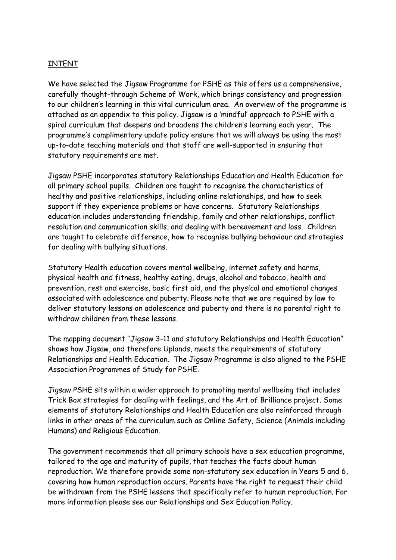## INTENT

We have selected the Jigsaw Programme for PSHE as this offers us a comprehensive, carefully thought-through Scheme of Work, which brings consistency and progression to our children's learning in this vital curriculum area. An overview of the programme is attached as an appendix to this policy. Jigsaw is a 'mindful' approach to PSHE with a spiral curriculum that deepens and broadens the children's learning each year. The programme's complimentary update policy ensure that we will always be using the most up-to-date teaching materials and that staff are well-supported in ensuring that statutory requirements are met.

Jigsaw PSHE incorporates statutory Relationships Education and Health Education for all primary school pupils. Children are taught to recognise the characteristics of healthy and positive relationships, including online relationships, and how to seek support if they experience problems or have concerns. Statutory Relationships education includes understanding friendship, family and other relationships, conflict resolution and communication skills, and dealing with bereavement and loss. Children are taught to celebrate difference, how to recognise bullying behaviour and strategies for dealing with bullying situations.

Statutory Health education covers mental wellbeing, internet safety and harms, physical health and fitness, healthy eating, drugs, alcohol and tobacco, health and prevention, rest and exercise, basic first aid, and the physical and emotional changes associated with adolescence and puberty. Please note that we are required by law to deliver statutory lessons on adolescence and puberty and there is no parental right to withdraw children from these lessons.

The mapping document "Jigsaw 3-11 and statutory Relationships and Health Education" shows how Jigsaw, and therefore Uplands, meets the requirements of statutory Relationships and Health Education. The Jigsaw Programme is also aligned to the PSHE Association Programmes of Study for PSHE.

Jigsaw PSHE sits within a wider approach to promoting mental wellbeing that includes Trick Box strategies for dealing with feelings, and the Art of Brilliance project. Some elements of statutory Relationships and Health Education are also reinforced through links in other areas of the curriculum such as Online Safety, Science (Animals including Humans) and Religious Education.

The government recommends that all primary schools have a sex education programme, tailored to the age and maturity of pupils, that teaches the facts about human reproduction. We therefore provide some non-statutory sex education in Years 5 and 6, covering how human reproduction occurs. Parents have the right to request their child be withdrawn from the PSHE lessons that specifically refer to human reproduction. For more information please see our Relationships and Sex Education Policy.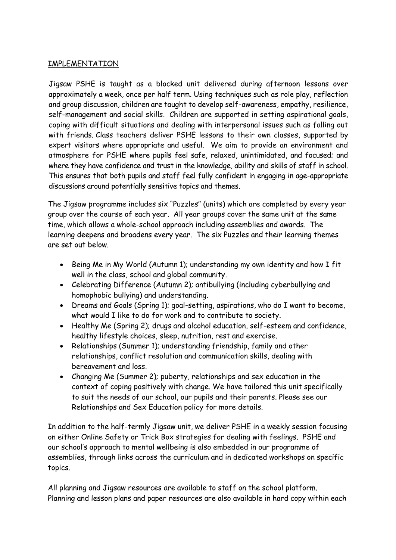# IMPLEMENTATION

Jigsaw PSHE is taught as a blocked unit delivered during afternoon lessons over approximately a week, once per half term. Using techniques such as role play, reflection and group discussion, children are taught to develop self-awareness, empathy, resilience, self-management and social skills. Children are supported in setting aspirational goals, coping with difficult situations and dealing with interpersonal issues such as falling out with friends. Class teachers deliver PSHE lessons to their own classes, supported by expert visitors where appropriate and useful. We aim to provide an environment and atmosphere for PSHE where pupils feel safe, relaxed, unintimidated, and focused; and where they have confidence and trust in the knowledge, ability and skills of staff in school. This ensures that both pupils and staff feel fully confident in engaging in age-appropriate discussions around potentially sensitive topics and themes.

The Jigsaw programme includes six "Puzzles" (units) which are completed by every year group over the course of each year. All year groups cover the same unit at the same time, which allows a whole-school approach including assemblies and awards. The learning deepens and broadens every year. The six Puzzles and their learning themes are set out below.

- Being Me in My World (Autumn 1); understanding my own identity and how I fit well in the class, school and global community.
- Celebrating Difference (Autumn 2); antibullying (including cyberbullying and homophobic bullying) and understanding.
- Dreams and Goals (Spring 1); goal-setting, aspirations, who do I want to become, what would I like to do for work and to contribute to society.
- Healthy Me (Spring 2); drugs and alcohol education, self-esteem and confidence, healthy lifestyle choices, sleep, nutrition, rest and exercise.
- Relationships (Summer 1); understanding friendship, family and other relationships, conflict resolution and communication skills, dealing with bereavement and loss.
- Changing Me (Summer 2); puberty, relationships and sex education in the context of coping positively with change. We have tailored this unit specifically to suit the needs of our school, our pupils and their parents. Please see our Relationships and Sex Education policy for more details.

In addition to the half-termly Jigsaw unit, we deliver PSHE in a weekly session focusing on either Online Safety or Trick Box strategies for dealing with feelings. PSHE and our school's approach to mental wellbeing is also embedded in our programme of assemblies, through links across the curriculum and in dedicated workshops on specific topics.

All planning and Jigsaw resources are available to staff on the school platform. Planning and lesson plans and paper resources are also available in hard copy within each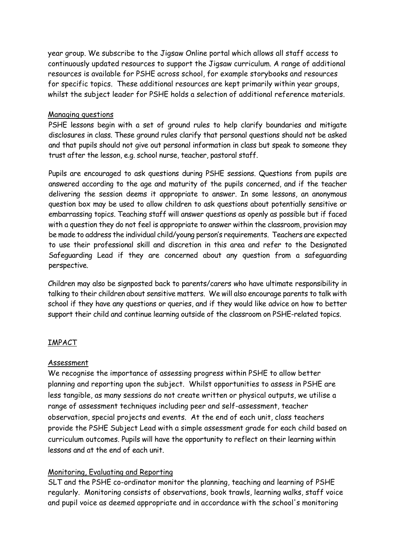year group. We subscribe to the Jigsaw Online portal which allows all staff access to continuously updated resources to support the Jigsaw curriculum. A range of additional resources is available for PSHE across school, for example storybooks and resources for specific topics. These additional resources are kept primarily within year groups, whilst the subject leader for PSHE holds a selection of additional reference materials.

#### Managing questions

PSHE lessons begin with a set of ground rules to help clarify boundaries and mitigate disclosures in class. These ground rules clarify that personal questions should not be asked and that pupils should not give out personal information in class but speak to someone they trust after the lesson, e.g. school nurse, teacher, pastoral staff.

Pupils are encouraged to ask questions during PSHE sessions. Questions from pupils are answered according to the age and maturity of the pupils concerned, and if the teacher delivering the session deems it appropriate to answer. In some lessons, an anonymous question box may be used to allow children to ask questions about potentially sensitive or embarrassing topics. Teaching staff will answer questions as openly as possible but if faced with a question they do not feel is appropriate to answer within the classroom, provision may be made to address the individual child/young person's requirements. Teachers are expected to use their professional skill and discretion in this area and refer to the Designated Safeguarding Lead if they are concerned about any question from a safeguarding perspective.

Children may also be signposted back to parents/carers who have ultimate responsibility in talking to their children about sensitive matters. We will also encourage parents to talk with school if they have any questions or queries, and if they would like advice on how to better support their child and continue learning outside of the classroom on PSHE-related topics.

# IMPACT

#### Assessment

We recognise the importance of assessing progress within PSHE to allow better planning and reporting upon the subject. Whilst opportunities to assess in PSHE are less tangible, as many sessions do not create written or physical outputs, we utilise a range of assessment techniques including peer and self-assessment, teacher observation, special projects and events. At the end of each unit, class teachers provide the PSHE Subject Lead with a simple assessment grade for each child based on curriculum outcomes. Pupils will have the opportunity to reflect on their learning within lessons and at the end of each unit.

# Monitoring, Evaluating and Reporting

SLT and the PSHE co-ordinator monitor the planning, teaching and learning of PSHE regularly. Monitoring consists of observations, book trawls, learning walks, staff voice and pupil voice as deemed appropriate and in accordance with the school's monitoring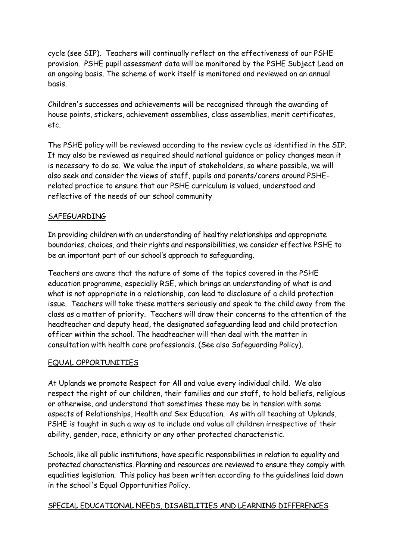cycle (see SIP). Teachers will continually reflect on the effectiveness of our PSHE provision. PSHE pupil assessment data will be monitored by the PSHE Subject Lead on an ongoing basis. The scheme of work itself is monitored and reviewed on an annual basis.

Children's successes and achievements will be recognised through the awarding of house points, stickers, achievement assemblies, class assemblies, merit certificates, etc.

The PSHE policy will be reviewed according to the review cycle as identified in the SIP. It may also be reviewed as required should national guidance or policy changes mean it is necessary to do so. We value the input of stakeholders, so where possible, we will also seek and consider the views of staff, pupils and parents/carers around PSHErelated practice to ensure that our PSHE curriculum is valued, understood and reflective of the needs of our school community

#### SAFEGUARDING

In providing children with an understanding of healthy relationships and appropriate boundaries, choices, and their rights and responsibilities, we consider effective PSHE to be an important part of our school's approach to safeguarding.

Teachers are aware that the nature of some of the topics covered in the PSHE education programme, especially RSE, which brings an understanding of what is and what is not appropriate in a relationship, can lead to disclosure of a child protection issue. Teachers will take these matters seriously and speak to the child away from the class as a matter of priority. Teachers will draw their concerns to the attention of the headteacher and deputy head, the designated safeguarding lead and child protection officer within the school. The headteacher will then deal with the matter in consultation with health care professionals. (See also Safeguarding Policy).

#### EQUAL OPPORTUNITIES

At Uplands we promote Respect for All and value every individual child. We also respect the right of our children, their families and our staff, to hold beliefs, religious or otherwise, and understand that sometimes these may be in tension with some aspects of Relationships, Health and Sex Education. As with all teaching at Uplands, PSHE is taught in such a way as to include and value all children irrespective of their ability, gender, race, ethnicity or any other protected characteristic.

Schools, like all public institutions, have specific responsibilities in relation to equality and protected characteristics. Planning and resources are reviewed to ensure they comply with equalities legislation. This policy has been written according to the guidelines laid down in the school's Equal Opportunities Policy.

# SPECIAL EDUCATIONAL NEEDS, DISABILITIES AND LEARNING DIFFERENCES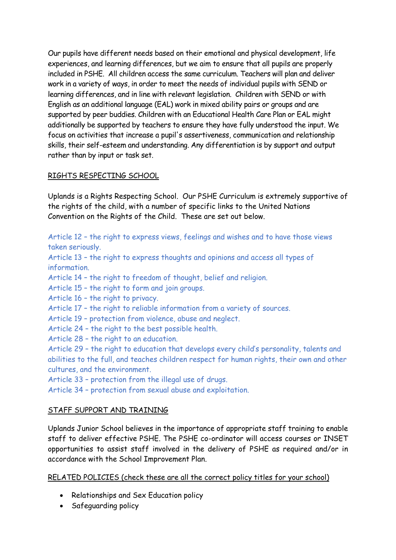Our pupils have different needs based on their emotional and physical development, life experiences, and learning differences, but we aim to ensure that all pupils are properly included in PSHE. All children access the same curriculum. Teachers will plan and deliver work in a variety of ways, in order to meet the needs of individual pupils with SEND or learning differences, and in line with relevant legislation. Children with SEND or with English as an additional language (EAL) work in mixed ability pairs or groups and are supported by peer buddies. Children with an Educational Health Care Plan or EAL might additionally be supported by teachers to ensure they have fully understood the input. We focus on activities that increase a pupil's assertiveness, communication and relationship skills, their self-esteem and understanding. Any differentiation is by support and output rather than by input or task set.

## RIGHTS RESPECTING SCHOOL

Uplands is a Rights Respecting School. Our PSHE Curriculum is extremely supportive of the rights of the child, with a number of specific links to the United Nations Convention on the Rights of the Child. These are set out below.

Article 12 – the right to express views, feelings and wishes and to have those views taken seriously.

Article 13 – the right to express thoughts and opinions and access all types of information.

Article 14 – the right to freedom of thought, belief and religion.

Article 15 – the right to form and join groups.

Article 16 – the right to privacy.

Article 17 – the right to reliable information from a variety of sources.

- Article 19 protection from violence, abuse and neglect.
- Article 24 the right to the best possible health.
- Article 28 the right to an education.

Article 29 – the right to education that develops every child's personality, talents and abilities to the full, and teaches children respect for human rights, their own and other cultures, and the environment.

Article 33 – protection from the illegal use of drugs.

Article 34 – protection from sexual abuse and exploitation.

# STAFF SUPPORT AND TRAINING

Uplands Junior School believes in the importance of appropriate staff training to enable staff to deliver effective PSHE. The PSHE co-ordinator will access courses or INSET opportunities to assist staff involved in the delivery of PSHE as required and/or in accordance with the School Improvement Plan.

# RELATED POLICIES (check these are all the correct policy titles for your school)

- Relationships and Sex Education policy
- Safeguarding policy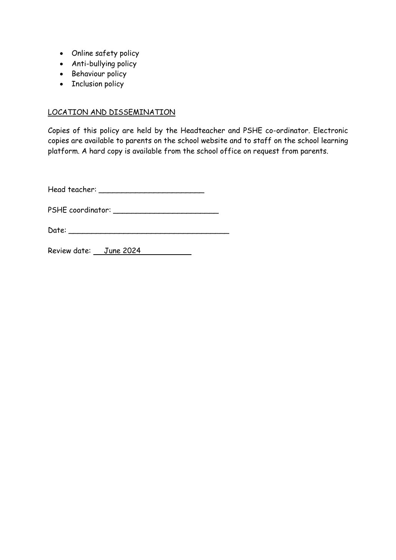- Online safety policy
- Anti-bullying policy
- Behaviour policy
- Inclusion policy

# LOCATION AND DISSEMINATION

Copies of this policy are held by the Headteacher and PSHE co-ordinator. Electronic copies are available to parents on the school website and to staff on the school learning platform. A hard copy is available from the school office on request from parents.

Head teacher: \_\_\_\_\_\_\_\_\_\_\_\_\_\_\_\_\_\_\_\_\_\_\_

PSHE coordinator: \_\_\_\_\_\_\_\_\_\_\_\_\_\_\_\_\_\_\_\_\_\_\_

Date: \_\_\_\_\_\_\_\_\_\_\_\_\_\_\_\_\_\_\_\_\_\_\_\_\_\_\_\_\_\_\_\_\_\_\_

Review date: June 2024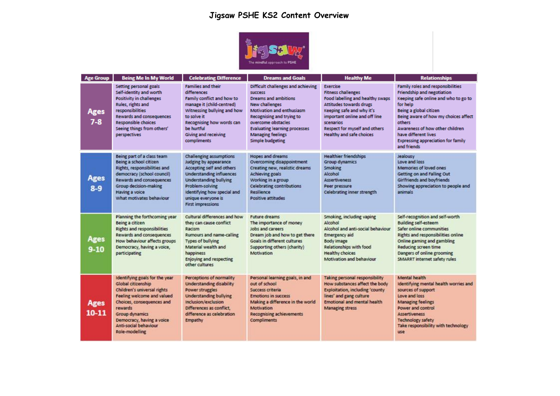# **Jigsaw PSHE KS2 Content Overview**



| <b>Age Group</b>         | <b>Being Me In My World</b>                                                                                                                                                                                                                                | <b>Celebrating Difference</b>                                                                                                                                                                                                                                | <b>Dreams and Goals</b>                                                                                                                                                                                                                                                              | <b>Healthy Me</b>                                                                                                                                                                                                                                                        | <b>Relationships</b>                                                                                                                                                                                                                                                                                                          |
|--------------------------|------------------------------------------------------------------------------------------------------------------------------------------------------------------------------------------------------------------------------------------------------------|--------------------------------------------------------------------------------------------------------------------------------------------------------------------------------------------------------------------------------------------------------------|--------------------------------------------------------------------------------------------------------------------------------------------------------------------------------------------------------------------------------------------------------------------------------------|--------------------------------------------------------------------------------------------------------------------------------------------------------------------------------------------------------------------------------------------------------------------------|-------------------------------------------------------------------------------------------------------------------------------------------------------------------------------------------------------------------------------------------------------------------------------------------------------------------------------|
| <b>Ages</b><br>$7-8$     | Setting personal goals<br>Self-identity and worth<br><b>Positivity in challenges</b><br>Rules, rights and<br>responsibilities<br><b>Rewards and consequences</b><br>Responsible choices<br>Seeing things from others'<br>perspectives                      | <b>Families and their</b><br>differences<br>Family conflict and how to<br>manage it (child-centred)<br>Witnessing bullying and how<br>to solve it<br>Recognising how words can<br>be hurtful<br><b>Giving and receiving</b><br>compliments                   | Difficult challenges and achieving<br><b>success</b><br><b>Dreams and ambitions</b><br>New challenges<br><b>Motivation and enthusiasm</b><br>Recognising and trying to<br>overcome obstacles<br><b>Evaluating learning processes</b><br><b>Managing feelings</b><br>Simple budgeting | <b>Exercise</b><br><b>Fitness challenges</b><br>Food labelling and healthy swaps<br><b>Attitudes towards drugs</b><br>Keeping safe and why it's<br>important online and off line<br><b>scenarios</b><br>Respect for myself and others<br><b>Healthy and safe choices</b> | Family roles and responsibilities<br><b>Friendship and negotiation</b><br>Keeping safe online and who to go to<br>for help<br>Being a global citizen<br>Being aware of how my choices affect<br>others<br>Awareness of how other children<br>have different lives<br><b>Expressing appreciation for family</b><br>and friends |
| Ages<br>$8-9$            | Being part of a class team<br>Being a school citizen<br>Rights, responsibilities and<br>democracy (school council)<br>Rewards and consequences<br>Group decision-making<br>Having a voice<br>What motivates behaviour                                      | <b>Challenging assumptions</b><br>Judging by appearance<br>Accepting self and others<br><b>Understanding influences</b><br><b>Understanding bullying</b><br>Problem-solving<br>Identifying how special and<br>unique everyone is<br><b>First impressions</b> | <b>Hopes and dreams</b><br>Overcoming disappointment<br>Creating new, realistic dreams<br><b>Achieving goals</b><br>Working in a group<br><b>Celebrating contributions</b><br>Resilience<br>Positive attitudes                                                                       | <b>Healthier friendships</b><br><b>Group dynamics</b><br><b>Smoking</b><br>Alcohol<br><b>Assertiveness</b><br>Peer pressure<br><b>Celebrating inner strength</b>                                                                                                         | Jealousy<br>Love and loss<br>Memories of loved ones<br>Getting on and Falling Out<br>Girlfriends and boyfriends<br>Showing appreciation to people and<br>animals                                                                                                                                                              |
| <b>Ages</b><br>$9-10$    | Planning the forthcoming year<br>Being a citizen<br><b>Rights and responsibilities</b><br>Rewards and consequences<br>How behaviour affects groups<br>Democracy, having a voice,<br>participating                                                          | Cultural differences and how<br>they can cause conflict<br>Racism<br>Rumours and name-calling<br><b>Types of bullying</b><br>Material wealth and<br>happiness<br><b>Enjoying and respecting</b><br>other cultures                                            | <b>Future dreams</b><br>The importance of money<br>Jobs and careers<br>Dream job and how to get there<br>Goals in different cultures<br>Supporting others (charity)<br>Motivation                                                                                                    | Smoking, including vaping<br>Alcohol<br>Alcohol and anti-social behaviour<br><b>Emergency aid</b><br>Body image<br>Relationships with food<br><b>Healthy choices</b><br>Motivation and behaviour                                                                         | Self-recognition and self-worth<br><b>Building self-esteem</b><br>Safer online communities<br><b>Rights and responsibilities online</b><br>Online gaming and gambling<br>Reducing screen time<br>Dangers of online grooming<br>SMARRT internet safety rules                                                                   |
| <b>Ages</b><br>$10 - 11$ | Identifying goals for the year<br>Global citizenship<br>Children's universal rights<br>Feeling welcome and valued<br>Choices, consequences and<br>rewards<br><b>Group dynamics</b><br>Democracy, having a voice<br>Anti-social behaviour<br>Role-modelling | Perceptions of normality<br><b>Understanding disability</b><br>Power struggles<br><b>Understanding bullying</b><br>Inclusion/exclusion<br>Differences as conflict.<br>difference as celebration<br>Empathy                                                   | Personal learning goals, in and<br>out of school<br>Success criteria<br><b>Emotions in success</b><br>Making a difference in the world<br>Motivation<br><b>Recognising achievements</b><br><b>Compliments</b>                                                                        | Taking personal responsibility<br>How substances affect the body<br><b>Exploitation, including 'county</b><br>lines' and gang culture<br><b>Emotional and mental health</b><br><b>Managing stress</b>                                                                    | Mental health<br>Identifying mental health worries and<br>sources of support<br>Love and loss<br><b>Managing feelings</b><br>Power and control<br><b>Assertiveness</b><br><b>Technology safety</b><br>Take responsibility with technology<br>use                                                                              |